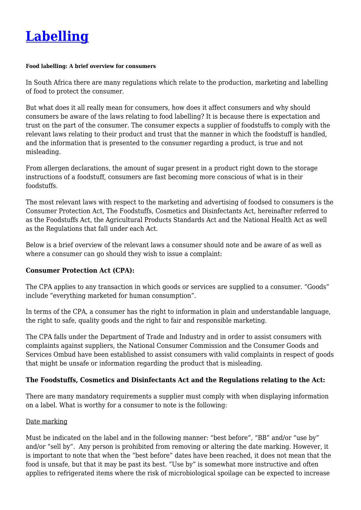

#### **Food labelling: A brief overview for consumers**

In South Africa there are many regulations which relate to the production, marketing and labelling of food to protect the consumer.

But what does it all really mean for consumers, how does it affect consumers and why should consumers be aware of the laws relating to food labelling? It is because there is expectation and trust on the part of the consumer. The consumer expects a supplier of foodstuffs to comply with the relevant laws relating to their product and trust that the manner in which the foodstuff is handled, and the information that is presented to the consumer regarding a product, is true and not misleading.

From allergen declarations, the amount of sugar present in a product right down to the storage instructions of a foodstuff, consumers are fast becoming more conscious of what is in their foodstuffs.

The most relevant laws with respect to the marketing and advertising of foodsed to consumers is the Consumer Protection Act, The Foodstuffs, Cosmetics and Disinfectants Act, hereinafter referred to as the Foodstuffs Act, the Agricultural Products Standards Act and the National Health Act as well as the Regulations that fall under each Act.

Below is a brief overview of the relevant laws a consumer should note and be aware of as well as where a consumer can go should they wish to issue a complaint:

## **Consumer Protection Act (CPA):**

The CPA applies to any transaction in which goods or services are supplied to a consumer. "Goods" include "everything marketed for human consumption".

In terms of the CPA, a consumer has the right to information in plain and understandable language, the right to safe, quality goods and the right to fair and responsible marketing.

The CPA falls under the Department of Trade and Industry and in order to assist consumers with complaints against suppliers, the National Consumer Commission and the Consumer Goods and Services Ombud have been established to assist consumers with valid complaints in respect of goods that might be unsafe or information regarding the product that is misleading.

## **The Foodstuffs, Cosmetics and Disinfectants Act and the Regulations relating to the Act:**

There are many mandatory requirements a supplier must comply with when displaying information on a label. What is worthy for a consumer to note is the following:

### Date marking

Must be indicated on the label and in the following manner: "best before", "BB" and/or "use by" and/or "sell by". Any person is prohibited from removing or altering the date marking. However, it is important to note that when the "best before" dates have been reached, it does not mean that the food is unsafe, but that it may be past its best. "Use by" is somewhat more instructive and often applies to refrigerated items where the risk of microbiological spoilage can be expected to increase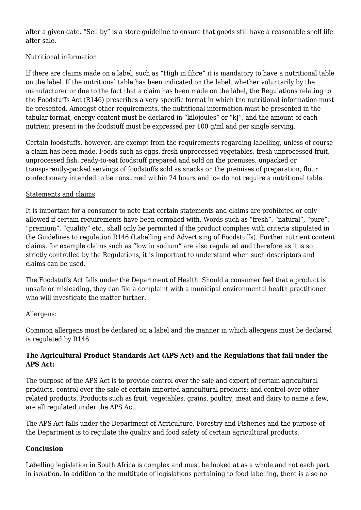after a given date. "Sell by" is a store guideline to ensure that goods still have a reasonable shelf life after sale.

## Nutritional information

If there are claims made on a label, such as "High in fibre" it is mandatory to have a nutritional table on the label. If the nutritional table has been indicated on the label, whether voluntarily by the manufacturer or due to the fact that a claim has been made on the label, the Regulations relating to the Foodstuffs Act (R146) prescribes a very specific format in which the nutritional information must be presented. Amongst other requirements, the nutritional information must be presented in the tabular format, energy content must be declared in "kilojoules" or "kJ", and the amount of each nutrient present in the foodstuff must be expressed per 100 g/ml and per single serving.

Certain foodstuffs, however, are exempt from the requirements regarding labelling, unless of course a claim has been made. Foods such as eggs, fresh unprocessed vegetables, fresh unprocessed fruit, unprocessed fish, ready-to-eat foodstuff prepared and sold on the premises, unpacked or transparently-packed servings of foodstuffs sold as snacks on the premises of preparation, flour confectionary intended to be consumed within 24 hours and ice do not require a nutritional table.

## Statements and claims

It is important for a consumer to note that certain statements and claims are prohibited or only allowed if certain requirements have been complied with. Words such as "fresh", "natural", "pure", "premium", "quality" etc., shall only be permitted if the product complies with criteria stipulated in the Guidelines to regulation R146 (Labelling and Advertising of Foodstuffs). Further nutrient content claims, for example claims such as "low in sodium" are also regulated and therefore as it is so strictly controlled by the Regulations, it is important to understand when such descriptors and claims can be used.

The Foodstuffs Act falls under the Department of Health. Should a consumer feel that a product is unsafe or misleading, they can file a complaint with a municipal environmental health practitioner who will investigate the matter further.

# Allergens:

Common allergens must be declared on a label and the manner in which allergens must be declared is regulated by R146.

# **The Agricultural Product Standards Act (APS Act) and the Regulations that fall under the APS Act:**

The purpose of the APS Act is to provide control over the sale and export of certain agricultural products, control over the sale of certain imported agricultural products; and control over other related products. Products such as fruit, vegetables, grains, poultry, meat and dairy to name a few, are all regulated under the APS Act.

The APS Act falls under the Department of Agriculture, Forestry and Fisheries and the purpose of the Department is to regulate the quality and food safety of certain agricultural products.

## **Conclusion**

Labelling legislation in South Africa is complex and must be looked at as a whole and not each part in isolation. In addition to the multitude of legislations pertaining to food labelling, there is also no